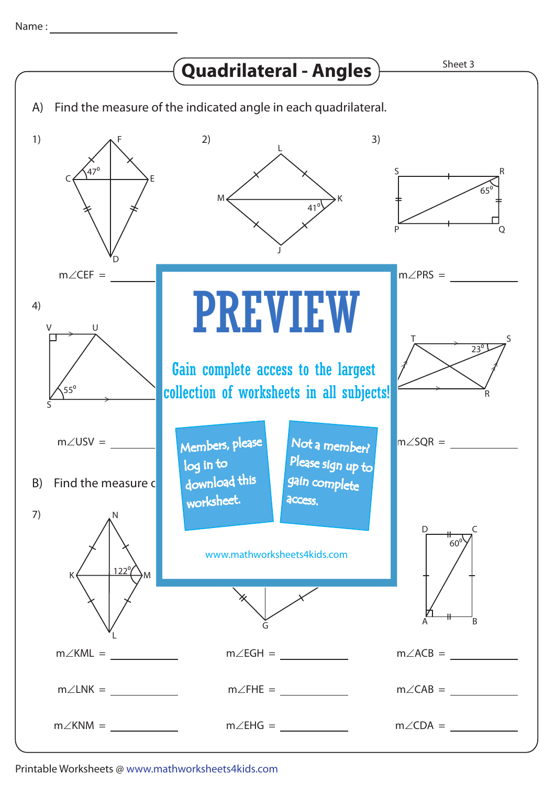